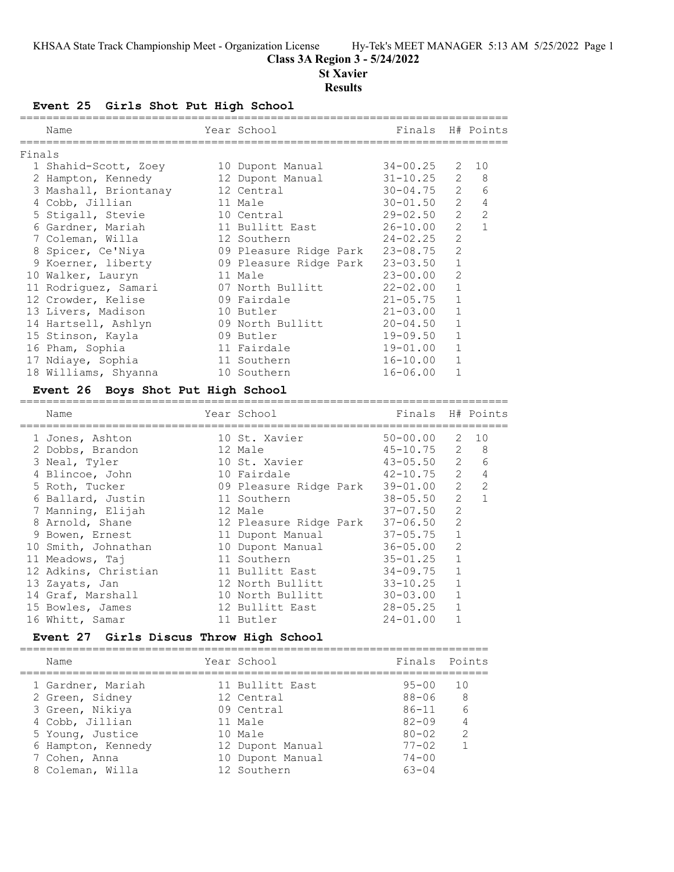## **Class 3A Region 3 - 5/24/2022**

## **St Xavier**

#### **Results**

## **Event 25 Girls Shot Put High School**

| Name                  |                 |                                              |                                                                                                                                                                                                                                                   |                  |                                                                                                                                                                                             |                                                                                                                                                          |
|-----------------------|-----------------|----------------------------------------------|---------------------------------------------------------------------------------------------------------------------------------------------------------------------------------------------------------------------------------------------------|------------------|---------------------------------------------------------------------------------------------------------------------------------------------------------------------------------------------|----------------------------------------------------------------------------------------------------------------------------------------------------------|
| Finals                |                 |                                              |                                                                                                                                                                                                                                                   |                  |                                                                                                                                                                                             |                                                                                                                                                          |
|                       |                 |                                              |                                                                                                                                                                                                                                                   |                  |                                                                                                                                                                                             |                                                                                                                                                          |
| 2 Hampton, Kennedy    |                 |                                              |                                                                                                                                                                                                                                                   |                  | $\overline{2}$                                                                                                                                                                              | 8                                                                                                                                                        |
| 3 Mashall, Briontanay |                 |                                              |                                                                                                                                                                                                                                                   |                  | $\overline{2}$                                                                                                                                                                              | 6                                                                                                                                                        |
|                       |                 |                                              |                                                                                                                                                                                                                                                   |                  | $2^{\circ}$                                                                                                                                                                                 | $\overline{4}$                                                                                                                                           |
| 5 Stigall, Stevie     |                 |                                              |                                                                                                                                                                                                                                                   |                  | $\overline{2}$                                                                                                                                                                              | $\mathcal{L}$                                                                                                                                            |
| 6 Gardner, Mariah     |                 |                                              |                                                                                                                                                                                                                                                   |                  | $\overline{2}$                                                                                                                                                                              | $\mathbf{1}$                                                                                                                                             |
| 7 Coleman, Willa      |                 |                                              |                                                                                                                                                                                                                                                   |                  | $\overline{2}$                                                                                                                                                                              |                                                                                                                                                          |
| 8 Spicer, Ce'Niya     |                 |                                              |                                                                                                                                                                                                                                                   |                  | 2                                                                                                                                                                                           |                                                                                                                                                          |
| 9 Koerner, liberty    |                 |                                              |                                                                                                                                                                                                                                                   |                  | $\mathbf{1}$                                                                                                                                                                                |                                                                                                                                                          |
| 10 Walker, Lauryn     |                 |                                              |                                                                                                                                                                                                                                                   |                  | 2                                                                                                                                                                                           |                                                                                                                                                          |
|                       |                 |                                              |                                                                                                                                                                                                                                                   |                  | $\mathbf{1}$                                                                                                                                                                                |                                                                                                                                                          |
| 12 Crowder, Kelise    |                 |                                              |                                                                                                                                                                                                                                                   |                  | $\mathbf{1}$                                                                                                                                                                                |                                                                                                                                                          |
| 13 Livers, Madison    |                 |                                              |                                                                                                                                                                                                                                                   |                  | $\mathbf{1}$                                                                                                                                                                                |                                                                                                                                                          |
| 14 Hartsell, Ashlyn   |                 |                                              |                                                                                                                                                                                                                                                   |                  | $\mathbf{1}$                                                                                                                                                                                |                                                                                                                                                          |
| 15 Stinson, Kayla     |                 |                                              |                                                                                                                                                                                                                                                   |                  | $\mathbf{1}$                                                                                                                                                                                |                                                                                                                                                          |
| 16 Pham, Sophia       |                 |                                              |                                                                                                                                                                                                                                                   |                  | $\mathbf{1}$                                                                                                                                                                                |                                                                                                                                                          |
| 17 Ndiaye, Sophia     |                 |                                              |                                                                                                                                                                                                                                                   |                  | $\mathbf{1}$                                                                                                                                                                                |                                                                                                                                                          |
| 18 Williams, Shyanna  |                 |                                              |                                                                                                                                                                                                                                                   |                  | $\mathbf{1}$                                                                                                                                                                                |                                                                                                                                                          |
|                       | 4 Cobb, Jillian | 1 Shahid-Scott, Zoey<br>11 Rodriguez, Samari | Year School<br>10 Dupont Manual<br>12 Dupont Manual<br>12 Central<br>11 Male<br>10 Central<br>11 Bullitt East<br>12 Southern<br>11 Male<br>09 Fairdale<br>10 Butler<br>09 North Bullitt<br>09 Butler<br>11 Fairdale<br>11 Southern<br>10 Southern | 07 North Bullitt | $24 - 02.25$<br>09 Pleasure Ridge Park 23-03.50<br>$23 - 00.00$<br>$22 - 02.00$<br>$21 - 05.75$<br>$21 - 03.00$<br>$20 - 04.50$<br>$19 - 09.50$<br>19-01.00<br>$16 - 10.00$<br>$16 - 06.00$ | Finals H# Points<br>$34 - 00.25$ 2 10<br>$31 - 10.25$<br>$30 - 04.75$<br>$30 - 01.50$<br>$29 - 02.50$<br>$26 - 10.00$<br>09 Pleasure Ridge Park 23-08.75 |

## **Event 26 Boys Shot Put High School**

| Name                 | Year School            | Finals H# Points |               |               |
|----------------------|------------------------|------------------|---------------|---------------|
| 1 Jones, Ashton      | 10 St. Xavier          | $50 - 00.00$     | 2             | 10            |
| 2 Dobbs, Brandon     | 12 Male                | $45 - 10.75$     | $\mathcal{L}$ | 8             |
| 3 Neal, Tyler        | 10 St. Xavier          | $43 - 05.50$     | $\mathcal{L}$ | 6             |
| 4 Blincoe, John      | 10 Fairdale            | $42 - 10.75$     | $\mathcal{L}$ | 4             |
| 5 Roth, Tucker       | 09 Pleasure Ridge Park | $39 - 01.00$     | $\mathcal{L}$ | $\mathcal{L}$ |
| 6 Ballard, Justin    | 11 Southern            | $38 - 05.50$     | $\mathcal{L}$ |               |
| 7 Manning, Elijah    | 12 Male                | 37-07.50         | $\mathcal{L}$ |               |
| 8 Arnold, Shane      | 12 Pleasure Ridge Park | $37 - 06.50$     | $\mathcal{L}$ |               |
| 9 Bowen, Ernest      | 11 Dupont Manual       | $37 - 05.75$     |               |               |
| 10 Smith, Johnathan  | 10 Dupont Manual       | $36 - 05.00$     | 2             |               |
| 11 Meadows, Taj      | 11 Southern            | $35 - 01.25$     |               |               |
| 12 Adkins, Christian | 11 Bullitt East        | $34 - 09.75$     |               |               |
| 13 Zayats, Jan       | 12 North Bullitt       | $33 - 10.25$     |               |               |
| 14 Graf, Marshall    | 10 North Bullitt       | $30 - 03.00$     |               |               |
| 15 Bowles, James     | 12 Bullitt East        | $28 - 05.25$     |               |               |
| 16 Whitt, Samar      | 11 Butler              | $24 - 01.00$     |               |               |
|                      |                        |                  |               |               |

#### **Event 27 Girls Discus Throw High School**

| Name               | Year School      | Finals Points |               |
|--------------------|------------------|---------------|---------------|
| 1 Gardner, Mariah  | 11 Bullitt East  | $95 - 00$     | 1 O           |
| 2 Green, Sidney    | 12 Central       | $88 - 06$     | -8            |
| 3 Green, Nikiya    | 09 Central       | $86 - 11$     | - 6           |
| 4 Cobb, Jillian    | 11 Male          | $82 - 09$     |               |
| 5 Young, Justice   | 10 Male          | $80 - 02$     | $\mathcal{P}$ |
| 6 Hampton, Kennedy | 12 Dupont Manual | $77 - 02$     |               |
| 7 Cohen, Anna      | 10 Dupont Manual | $74 - 00$     |               |
| 8 Coleman, Willa   | 12 Southern      | $63 - 04$     |               |
|                    |                  |               |               |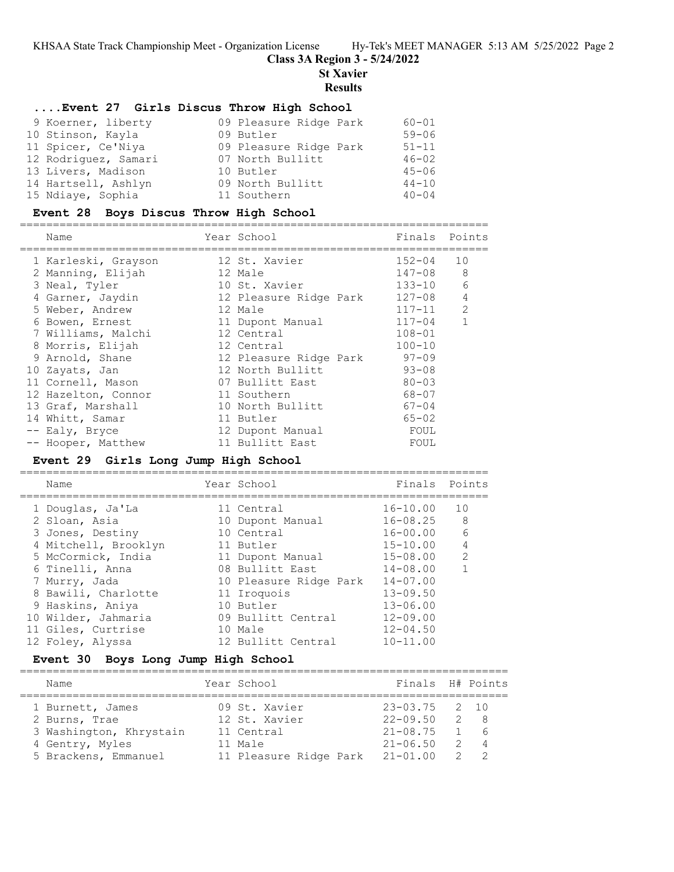## **Class 3A Region 3 - 5/24/2022**

**St Xavier**

#### **Results**

#### **....Event 27 Girls Discus Throw High School**

| 9 Koerner, liberty   | 09 Pleasure Ridge Park | $60 - 01$ |
|----------------------|------------------------|-----------|
| 10 Stinson, Kayla    | 09 Butler              | $59 - 06$ |
| 11 Spicer, Ce'Niya   | 09 Pleasure Ridge Park | $51 - 11$ |
| 12 Rodriguez, Samari | 07 North Bullitt       | $46 - 02$ |
| 13 Livers, Madison   | 10 Butler              | $45 - 06$ |
| 14 Hartsell, Ashlyn  | 09 North Bullitt       | $44 - 10$ |
| 15 Ndiaye, Sophia    | 11 Southern            | $40 - 04$ |

#### **Event 28 Boys Discus Throw High School**

======================================================================= Name Year School Finals Points ======================================================================= 1 Karleski, Grayson 12 St. Xavier 152-04 10 2 Manning, Elijah 12 Male 147-08 8 3 Neal, Tyler 10 St. Xavier 133-10 6 4 Garner, Jaydin 12 Pleasure Ridge Park 127-08 4 5 Weber, Andrew 12 Male 12 Male 117-11 2 6 Bowen, Ernest 11 Dupont Manual 117-04 1 7 Williams, Malchi 12 Central 108-01 8 Morris, Elijah 12 Central 100-10 9 Arnold, Shane 12 Pleasure Ridge Park 97-09 10 Zayats, Jan 12 North Bullitt 93-08 11 Cornell, Mason and 07 Bullitt East 80-03 12 Hazelton, Connor 11 Southern 68-07 13 Graf, Marshall 10 North Bullitt 67-04 14 Whitt, Samar 11 Butler 65-02 -- Ealy, Bryce and the Manual and Hould Foul -- Hooper, Matthew 11 Bullitt East FOUL

## **Event 29 Girls Long Jump High School**

=======================================================================

| Name |                                                                                                                                                                                                                                                     | Finals                                                                                                                                                                                                                       | Points         |
|------|-----------------------------------------------------------------------------------------------------------------------------------------------------------------------------------------------------------------------------------------------------|------------------------------------------------------------------------------------------------------------------------------------------------------------------------------------------------------------------------------|----------------|
|      |                                                                                                                                                                                                                                                     | $16 - 10.00$                                                                                                                                                                                                                 | 10             |
|      |                                                                                                                                                                                                                                                     |                                                                                                                                                                                                                              | 8 <sup>8</sup> |
|      |                                                                                                                                                                                                                                                     | $16 - 00.00$                                                                                                                                                                                                                 | 6              |
|      |                                                                                                                                                                                                                                                     | $15 - 10.00$                                                                                                                                                                                                                 | $\overline{4}$ |
|      |                                                                                                                                                                                                                                                     | $15 - 08.00$                                                                                                                                                                                                                 | $\mathcal{L}$  |
|      |                                                                                                                                                                                                                                                     | $14 - 08.00$                                                                                                                                                                                                                 |                |
|      |                                                                                                                                                                                                                                                     | $14 - 07.00$                                                                                                                                                                                                                 |                |
|      |                                                                                                                                                                                                                                                     | $13 - 09.50$                                                                                                                                                                                                                 |                |
|      |                                                                                                                                                                                                                                                     | $13 - 06.00$                                                                                                                                                                                                                 |                |
|      |                                                                                                                                                                                                                                                     | $12 - 09.00$                                                                                                                                                                                                                 |                |
|      |                                                                                                                                                                                                                                                     | $12 - 04.50$                                                                                                                                                                                                                 |                |
|      |                                                                                                                                                                                                                                                     | $10 - 11.00$                                                                                                                                                                                                                 |                |
|      | 1 Douglas, Ja'La<br>2 Sloan, Asia<br>3 Jones, Destiny<br>4 Mitchell, Brooklyn<br>5 McCormick, India<br>6 Tinelli, Anna<br>7 Murry, Jada<br>8 Bawili, Charlotte<br>9 Haskins, Aniya<br>10 Wilder, Jahmaria<br>11 Giles, Curtrise<br>12 Foley, Alyssa | Year School<br>11 Central<br>10 Dupont Manual<br>10 Central<br>11 Butler<br>11 Dupont Manual<br>08 Bullitt East<br>10 Pleasure Ridge Park<br>11 Iroquois<br>10 Butler<br>09 Bullitt Central<br>10 Male<br>12 Bullitt Central | $16 - 08.25$   |

#### **Event 30 Boys Long Jump High School**

| Name                    | Year School            | Finals H# Points  |                                            |             |
|-------------------------|------------------------|-------------------|--------------------------------------------|-------------|
| 1 Burnett, James        | 09 St. Xavier          | $23 - 03.75$ 2 10 |                                            |             |
| 2 Burns, Trae           | 12 St. Xavier          | $22 - 09.50$      | $\overline{2}$ 8                           |             |
| 3 Washington, Khrystain | 11 Central             | $21 - 08.75$      |                                            | $1 \quad 6$ |
| 4 Gentry, Myles         | 11 Male                | $21 - 06.50$      |                                            | 2 4         |
| 5 Brackens, Emmanuel    | 11 Pleasure Ridge Park | $21 - 01.00$      | $\begin{array}{ccc} & 2 & & 2 \end{array}$ |             |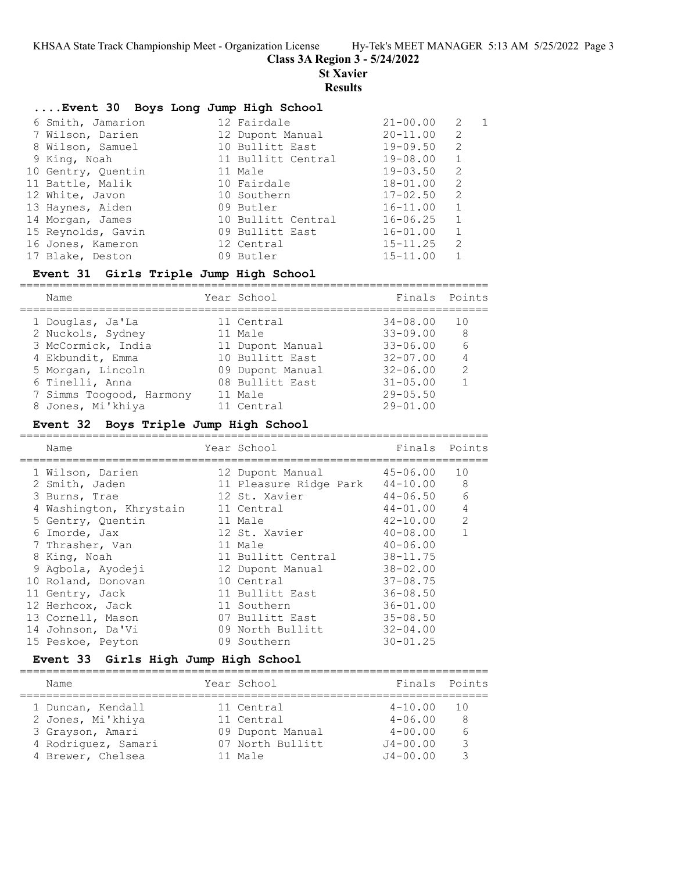**Class 3A Region 3 - 5/24/2022**

**St Xavier**

## **Results**

| Event 30 Boys Long Jump High School |                    |              |                |              |
|-------------------------------------|--------------------|--------------|----------------|--------------|
| 6 Smith, Jamarion                   | 12 Fairdale        | $21 - 00.00$ | 2              | $\mathbf{1}$ |
| 7 Wilson, Darien                    | 12 Dupont Manual   | $20 - 11.00$ | 2              |              |
| 8 Wilson, Samuel                    | 10 Bullitt East    | $19 - 09.50$ | 2              |              |
| 9 King, Noah                        | 11 Bullitt Central | $19 - 08.00$ | 1              |              |
| 10 Gentry, Quentin                  | 11 Male            | $19 - 03.50$ | 2              |              |
| 11 Battle, Malik                    | 10 Fairdale        | $18 - 01.00$ | 2              |              |
| 12 White, Javon                     | 10 Southern        | $17 - 02.50$ | 2              |              |
| 13 Haynes, Aiden                    | 09 Butler          | $16 - 11.00$ | $\overline{1}$ |              |
| 14 Morgan, James                    | 10 Bullitt Central | $16 - 06.25$ | 1              |              |
| 15 Reynolds, Gavin                  | 09 Bullitt East    | $16 - 01.00$ | $\overline{1}$ |              |
| 16 Jones, Kameron                   | 12 Central         | $15 - 11.25$ | $\mathcal{L}$  |              |
| 17 Blake, Deston                    | 09 Butler          | $15 - 11.00$ | $\mathbf{1}$   |              |

## **Event 31 Girls Triple Jump High School**

| Name                     | Year School      | Finals Points |               |
|--------------------------|------------------|---------------|---------------|
| 1 Douglas, Ja'La         | 11 Central       | $34 - 08.00$  | 10            |
| 2 Nuckols, Sydney        | 11 Male          | $33 - 09.00$  | -8            |
| 3 McCormick, India       | 11 Dupont Manual | $33 - 06.00$  | 6             |
| 4 Ekbundit, Emma         | 10 Bullitt East  | $32 - 07.00$  |               |
| 5 Morgan, Lincoln        | 09 Dupont Manual | $32 - 06.00$  | $\mathcal{L}$ |
| 6 Tinelli, Anna          | 08 Bullitt East  | $31 - 05.00$  |               |
| 7 Simms Toogood, Harmony | 11 Male          | $29 - 05.50$  |               |
| 8 Jones, Mi'khiya        | 11 Central       | $29 - 01.00$  |               |
|                          |                  |               |               |

## **Event 32 Boys Triple Jump High School**

| Name                    | Year School            | Finals       | Points         |
|-------------------------|------------------------|--------------|----------------|
| 1 Wilson, Darien        | 12 Dupont Manual       | 45-06.00     | 10             |
| 2 Smith, Jaden          | 11 Pleasure Ridge Park | 44-10.00     | 8              |
| 3 Burns, Trae           | 12 St. Xavier          | $44 - 06.50$ | 6              |
| 4 Washington, Khrystain | 11 Central             | 44-01.00     | $\overline{4}$ |
| 5 Gentry, Quentin       | 11 Male                | $42 - 10.00$ | 2              |
| 6 Imorde, Jax           | 12 St. Xavier          | $40 - 08.00$ | $\mathbf{1}$   |
| 7 Thrasher, Van         | 11 Male                | $40 - 06.00$ |                |
| 8 King, Noah            | 11 Bullitt Central     | $38 - 11.75$ |                |
| 9 Aqbola, Ayodeji       | 12 Dupont Manual       | $38 - 02.00$ |                |
| 10 Roland, Donovan      | 10 Central             | $37 - 08.75$ |                |
| 11 Gentry, Jack         | 11 Bullitt East        | $36 - 08.50$ |                |
| 12 Herhcox, Jack        | 11 Southern            | $36 - 01.00$ |                |
| 13 Cornell, Mason       | 07 Bullitt East        | $35 - 08.50$ |                |
| 14 Johnson, Da'Vi       | 09 North Bullitt       | $32 - 04.00$ |                |
| 15 Peskoe, Peyton       | 09 Southern            | $30 - 01.25$ |                |

## **Event 33 Girls High Jump High School**

| Name                | Year School      | Finals Points |                 |
|---------------------|------------------|---------------|-----------------|
| 1 Duncan, Kendall   | 11 Central       | $4 - 10.00$   | $\overline{10}$ |
| 2 Jones, Mi'khiya   | 11 Central       | $4 - 06.00$   | 8               |
| 3 Grayson, Amari    | 09 Dupont Manual | $4 - 00.00$   |                 |
| 4 Rodriguez, Samari | 07 North Bullitt | $J4 - 00.00$  | २               |
| 4 Brewer, Chelsea   | $11$ Male        | $J4 - 00.00$  |                 |
|                     |                  |               |                 |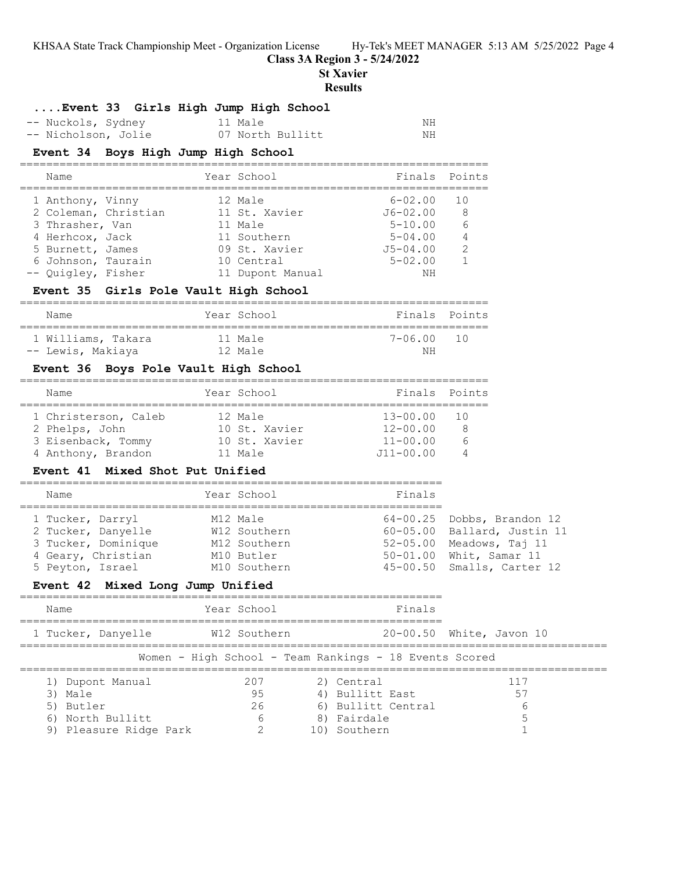**Class 3A Region 3 - 5/24/2022**

**St Xavier**

#### **Results**

## **....Event 33 Girls High Jump High School**

| -- Nuckols, Sydney  | 11 Male          | ΝH |
|---------------------|------------------|----|
| -- Nicholson, Jolie | 07 North Bullitt | ΝH |

## **Event 34 Boys High Jump High School**

| Name                 | Year School      | Finals Points |                |
|----------------------|------------------|---------------|----------------|
| 1 Anthony, Vinny     | 12 Male          | $6 - 02.00$   | 1 O            |
| 2 Coleman, Christian | 11 St. Xavier    | $J6 - 02.00$  | -8             |
| 3 Thrasher, Van      | 11 Male          | $5 - 10.00$   | 6              |
| 4 Herhcox, Jack      | 11 Southern      | $5 - 04.00$   | $\overline{4}$ |
| 5 Burnett, James     | 09 St. Xavier    | $J5 - 04.00$  | 2              |
| 6 Johnson, Taurain   | 10 Central       | $5 - 02.00$   |                |
| -- Quigley, Fisher   | 11 Dupont Manual | ΝH            |                |

# **Event 35 Girls Pole Vault High School**

|  | Name               |  | Year School | Finals Points |                 |  |
|--|--------------------|--|-------------|---------------|-----------------|--|
|  | 1 Williams, Takara |  | $11$ Male   | 7-06 00       | $\overline{10}$ |  |
|  | -- Lewis, Makiaya  |  | $12$ Male   | ΝH            |                 |  |

## **Event 36 Boys Pole Vault High School**

| Name                 | Year School   | Finals Points |    |
|----------------------|---------------|---------------|----|
| 1 Christerson, Caleb | 12 Male       | $13 - 00.00$  | 10 |
| 2 Phelps, John       | 10 St. Xavier | $12 - 00.00$  | 8  |
| 3 Eisenback, Tommy   | 10 St. Xavier | $11 - 00.00$  |    |
| 4 Anthony, Brandon   | $11$ Male     | $J11 - 00.00$ |    |

#### **Event 41 Mixed Shot Put Unified**

### ================================================================ Name **Year School** Finals ================================================================

| 1 Tucker, Darryl    | M12 Male     | 64-00.25 Dobbs, Brandon 12  |
|---------------------|--------------|-----------------------------|
| 2 Tucker, Danyelle  | W12 Southern | 60-05.00 Ballard, Justin 11 |
| 3 Tucker, Dominique | M12 Southern | 52-05.00 Meadows, Taj 11    |
| 4 Geary, Christian  | M10 Butler   | 50-01.00 Whit, Samar 11     |
| 5 Peyton, Israel    | M10 Southern | 45-00.50 Smalls, Carter 12  |

## **Event 42 Mixed Long Jump Unified**

| Name                                       | Year School                                            | Finals                        |                          |
|--------------------------------------------|--------------------------------------------------------|-------------------------------|--------------------------|
| 1 Tucker, Danyelle                         | W12 Southern                                           |                               | 20-00.50 White, Javon 10 |
|                                            | Women - High School - Team Rankings - 18 Events Scored |                               |                          |
| 1) Dupont Manual<br>3) Male                | 207<br>95                                              | 2) Central<br>4) Bullitt East | 117<br>55                |
| 5) Butler                                  | 26                                                     | 6) Bullitt Central            | b                        |
| 6) North Bullitt<br>9) Pleasure Ridge Park | 6<br>2                                                 | 8) Fairdale<br>Southern       |                          |